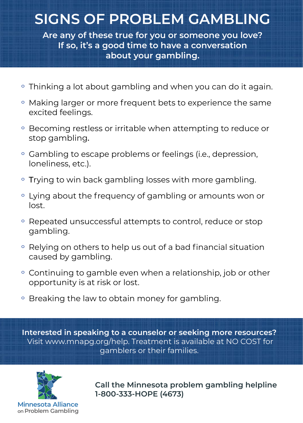## **SIGNS OF PROBLEM GAMBLING**

**Are any of these true for you or someone you love? If so, it's a good time to have a conversation about your gambling.**

- Thinking a lot about gambling and when you can do it again.
- º Making larger or more frequent bets to experience the same excited feelings.
- º Becoming restless or irritable when attempting to reduce or stop gambling.
- º Gambling to escape problems or feelings (i.e., depression, loneliness, etc.).
- Trying to win back gambling losses with more gambling.
- º Lying about the frequency of gambling or amounts won or lost.
- º Repeated unsuccessful attempts to control, reduce or stop gambling.
- º Relying on others to help us out of a bad financial situation caused by gambling.
- º Continuing to gamble even when a relationship, job or other opportunity is at risk or lost.
- <sup>o</sup> Breaking the law to obtain money for gambling.

**Interested in speaking to a counselor or seeking more resources?** Visit [www.mnapg.org/help. Tr](http://www.mnapg.org/help)eatment is available at NO COST for gamblers or their families.



**Call the Minnesota problem gambling helpline 1-800-333-HOPE (4673)**